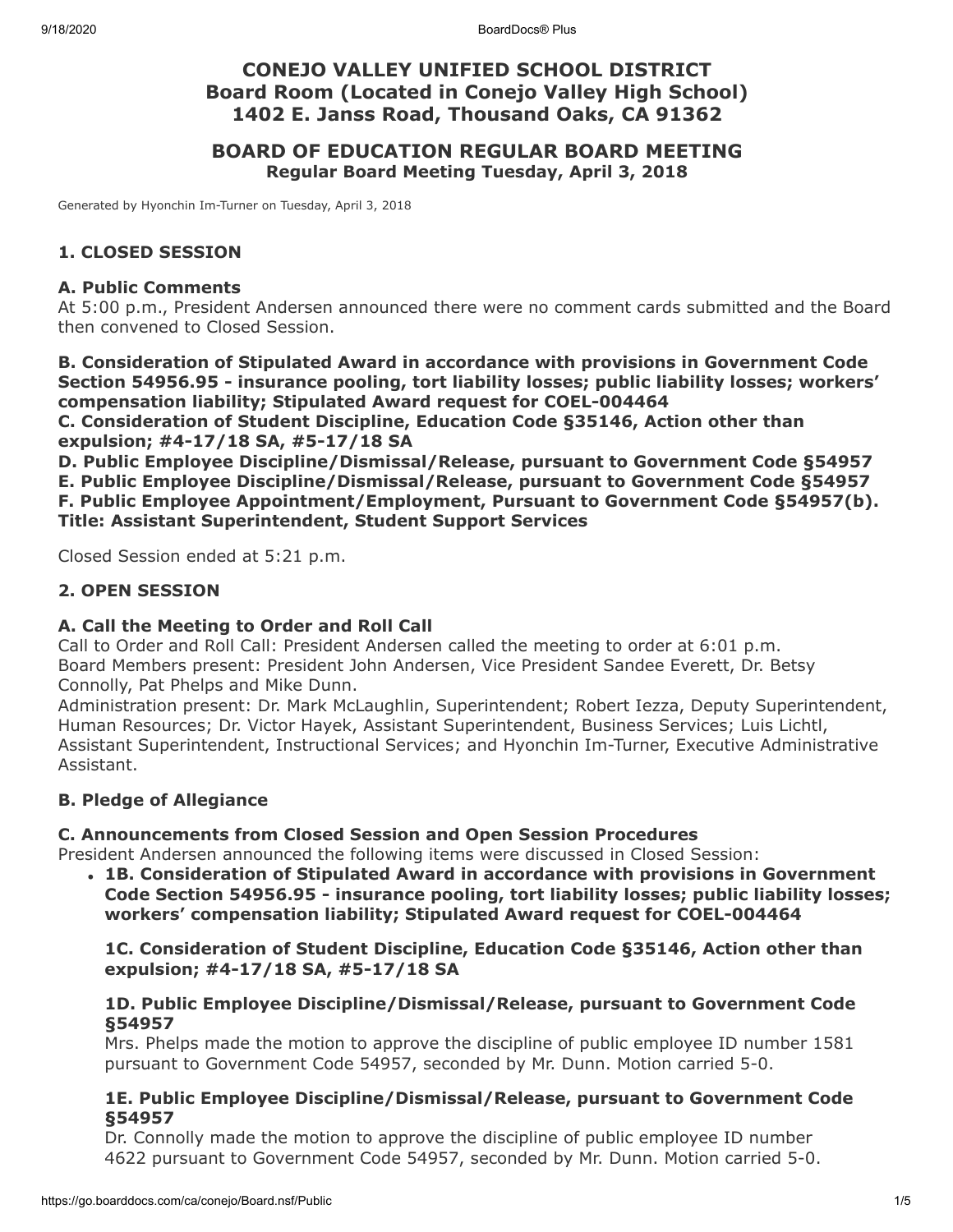# **CONEJO VALLEY UNIFIED SCHOOL DISTRICT Board Room (Located in Conejo Valley High School) 1402 E. Janss Road, Thousand Oaks, CA 91362**

# **BOARD OF EDUCATION REGULAR BOARD MEETING Regular Board Meeting Tuesday, April 3, 2018**

Generated by Hyonchin Im-Turner on Tuesday, April 3, 2018

# **1. CLOSED SESSION**

#### **A. Public Comments**

At 5:00 p.m., President Andersen announced there were no comment cards submitted and the Board then convened to Closed Session.

**B. Consideration of Stipulated Award in accordance with provisions in Government Code Section 54956.95 - insurance pooling, tort liability losses; public liability losses; workers' compensation liability; Stipulated Award request for COEL-004464**

**C. Consideration of Student Discipline, Education Code §35146, Action other than expulsion; #4-17/18 SA, #5-17/18 SA**

**D. Public Employee Discipline/Dismissal/Release, pursuant to Government Code §54957 E. Public Employee Discipline/Dismissal/Release, pursuant to Government Code §54957 F. Public Employee Appointment/Employment, Pursuant to Government Code §54957(b). Title: Assistant Superintendent, Student Support Services**

Closed Session ended at 5:21 p.m.

# **2. OPEN SESSION**

# **A. Call the Meeting to Order and Roll Call**

Call to Order and Roll Call: President Andersen called the meeting to order at 6:01 p.m. Board Members present: President John Andersen, Vice President Sandee Everett, Dr. Betsy Connolly, Pat Phelps and Mike Dunn.

Administration present: Dr. Mark McLaughlin, Superintendent; Robert Iezza, Deputy Superintendent, Human Resources; Dr. Victor Hayek, Assistant Superintendent, Business Services; Luis Lichtl, Assistant Superintendent, Instructional Services; and Hyonchin Im-Turner, Executive Administrative Assistant.

# **B. Pledge of Allegiance**

# **C. Announcements from Closed Session and Open Session Procedures**

President Andersen announced the following items were discussed in Closed Session:

**1B. Consideration of Stipulated Award in accordance with provisions in Government Code Section 54956.95 - insurance pooling, tort liability losses; public liability losses; workers' compensation liability; Stipulated Award request for COEL-004464**

**1C. Consideration of Student Discipline, Education Code §35146, Action other than expulsion; #4-17/18 SA, #5-17/18 SA**

#### **1D. Public Employee Discipline/Dismissal/Release, pursuant to Government Code §54957**

Mrs. Phelps made the motion to approve the discipline of public employee ID number 1581 pursuant to Government Code 54957, seconded by Mr. Dunn. Motion carried 5-0.

#### **1E. Public Employee Discipline/Dismissal/Release, pursuant to Government Code §54957**

Dr. Connolly made the motion to approve the discipline of public employee ID number 4622 pursuant to Government Code 54957, seconded by Mr. Dunn. Motion carried 5-0.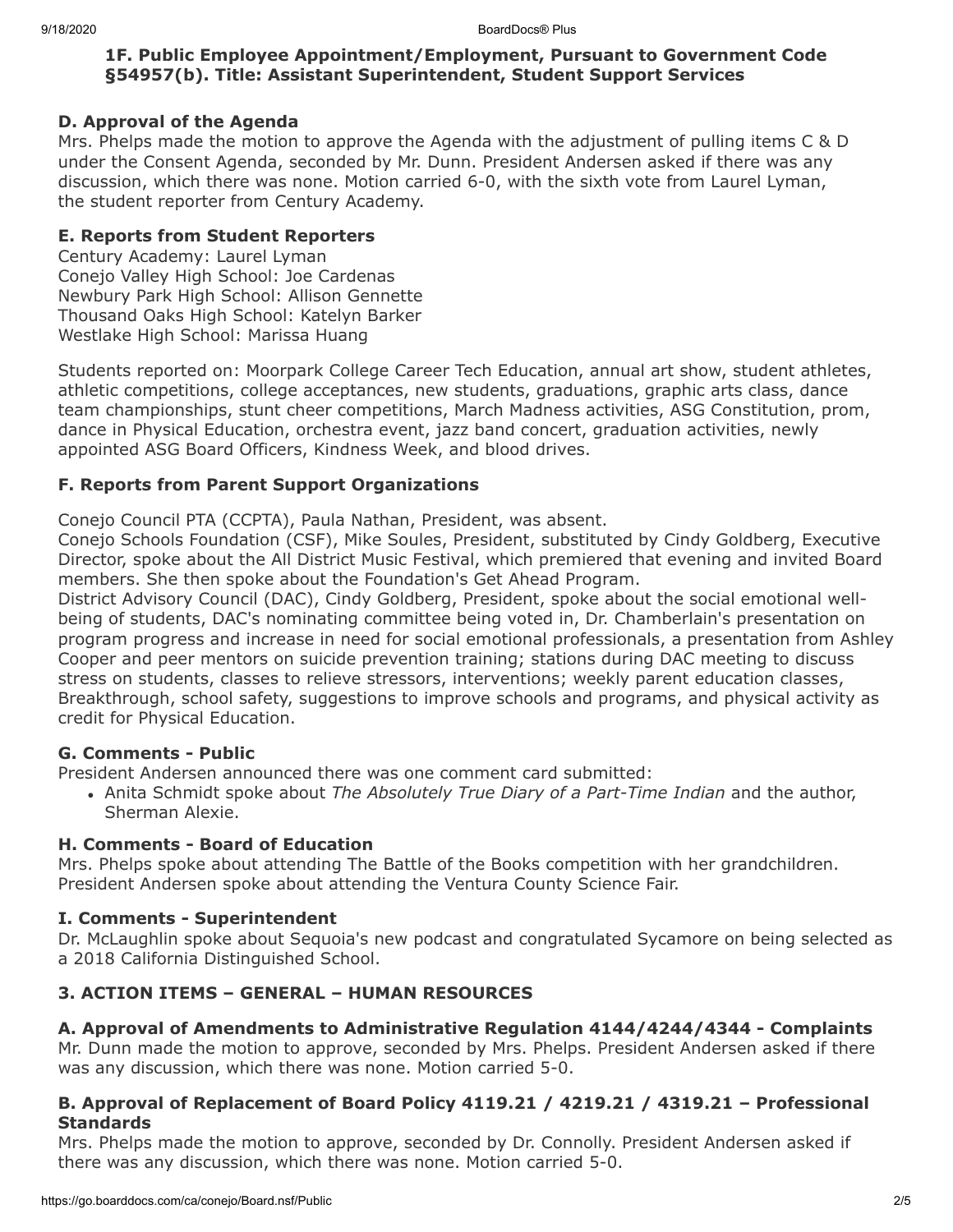# **1F. Public Employee Appointment/Employment, Pursuant to Government Code §54957(b). Title: Assistant Superintendent, Student Support Services**

# **D. Approval of the Agenda**

Mrs. Phelps made the motion to approve the Agenda with the adjustment of pulling items C & D under the Consent Agenda, seconded by Mr. Dunn. President Andersen asked if there was any discussion, which there was none. Motion carried 6-0, with the sixth vote from Laurel Lyman, the student reporter from Century Academy.

# **E. Reports from Student Reporters**

Century Academy: Laurel Lyman Conejo Valley High School: Joe Cardenas Newbury Park High School: Allison Gennette Thousand Oaks High School: Katelyn Barker Westlake High School: Marissa Huang

Students reported on: Moorpark College Career Tech Education, annual art show, student athletes, athletic competitions, college acceptances, new students, graduations, graphic arts class, dance team championships, stunt cheer competitions, March Madness activities, ASG Constitution, prom, dance in Physical Education, orchestra event, jazz band concert, graduation activities, newly appointed ASG Board Officers, Kindness Week, and blood drives.

# **F. Reports from Parent Support Organizations**

Conejo Council PTA (CCPTA), Paula Nathan, President, was absent.

Conejo Schools Foundation (CSF), Mike Soules, President, substituted by Cindy Goldberg, Executive Director, spoke about the All District Music Festival, which premiered that evening and invited Board members. She then spoke about the Foundation's Get Ahead Program.

District Advisory Council (DAC), Cindy Goldberg, President, spoke about the social emotional wellbeing of students, DAC's nominating committee being voted in, Dr. Chamberlain's presentation on program progress and increase in need for social emotional professionals, a presentation from Ashley Cooper and peer mentors on suicide prevention training; stations during DAC meeting to discuss stress on students, classes to relieve stressors, interventions; weekly parent education classes, Breakthrough, school safety, suggestions to improve schools and programs, and physical activity as credit for Physical Education.

# **G. Comments - Public**

President Andersen announced there was one comment card submitted:

Anita Schmidt spoke about *The Absolutely True Diary of a Part-Time Indian* and the author, Sherman Alexie.

# **H. Comments - Board of Education**

Mrs. Phelps spoke about attending The Battle of the Books competition with her grandchildren. President Andersen spoke about attending the Ventura County Science Fair.

# **I. Comments - Superintendent**

Dr. McLaughlin spoke about Sequoia's new podcast and congratulated Sycamore on being selected as a 2018 California Distinguished School.

# **3. ACTION ITEMS – GENERAL – HUMAN RESOURCES**

# **A. Approval of Amendments to Administrative Regulation 4144/4244/4344 - Complaints**

Mr. Dunn made the motion to approve, seconded by Mrs. Phelps. President Andersen asked if there was any discussion, which there was none. Motion carried 5-0.

# **B. Approval of Replacement of Board Policy 4119.21 / 4219.21 / 4319.21 – Professional Standards**

Mrs. Phelps made the motion to approve, seconded by Dr. Connolly. President Andersen asked if there was any discussion, which there was none. Motion carried 5-0.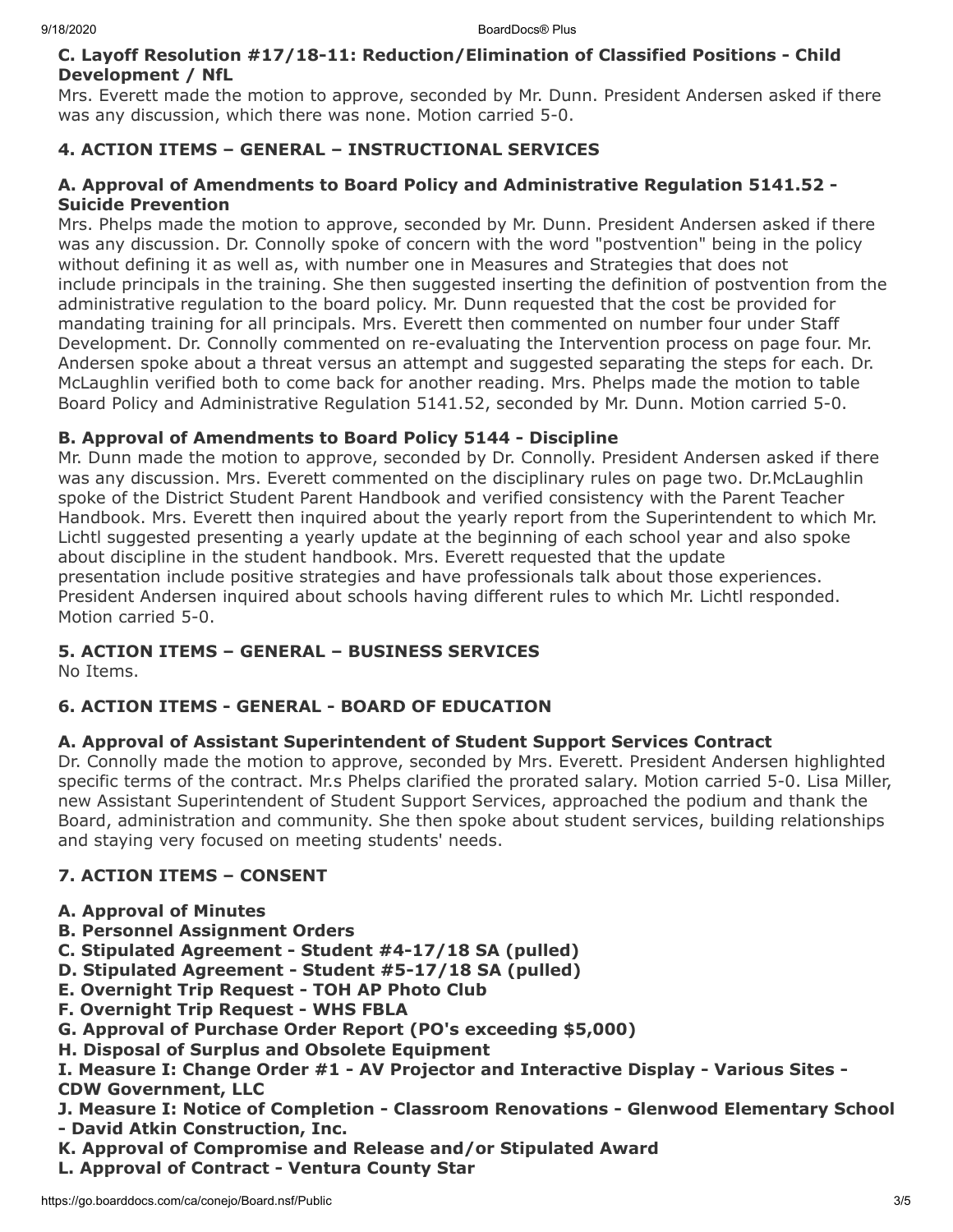## **C. Layoff Resolution #17/18-11: Reduction/Elimination of Classified Positions - Child Development / NfL**

Mrs. Everett made the motion to approve, seconded by Mr. Dunn. President Andersen asked if there was any discussion, which there was none. Motion carried 5-0.

# **4. ACTION ITEMS – GENERAL – INSTRUCTIONAL SERVICES**

## **A. Approval of Amendments to Board Policy and Administrative Regulation 5141.52 - Suicide Prevention**

Mrs. Phelps made the motion to approve, seconded by Mr. Dunn. President Andersen asked if there was any discussion. Dr. Connolly spoke of concern with the word "postvention" being in the policy without defining it as well as, with number one in Measures and Strategies that does not include principals in the training. She then suggested inserting the definition of postvention from the administrative regulation to the board policy. Mr. Dunn requested that the cost be provided for mandating training for all principals. Mrs. Everett then commented on number four under Staff Development. Dr. Connolly commented on re-evaluating the Intervention process on page four. Mr. Andersen spoke about a threat versus an attempt and suggested separating the steps for each. Dr. McLaughlin verified both to come back for another reading. Mrs. Phelps made the motion to table Board Policy and Administrative Regulation 5141.52, seconded by Mr. Dunn. Motion carried 5-0.

# **B. Approval of Amendments to Board Policy 5144 - Discipline**

Mr. Dunn made the motion to approve, seconded by Dr. Connolly. President Andersen asked if there was any discussion. Mrs. Everett commented on the disciplinary rules on page two. Dr.McLaughlin spoke of the District Student Parent Handbook and verified consistency with the Parent Teacher Handbook. Mrs. Everett then inquired about the yearly report from the Superintendent to which Mr. Lichtl suggested presenting a yearly update at the beginning of each school year and also spoke about discipline in the student handbook. Mrs. Everett requested that the update presentation include positive strategies and have professionals talk about those experiences. President Andersen inquired about schools having different rules to which Mr. Lichtl responded. Motion carried 5-0.

# **5. ACTION ITEMS – GENERAL – BUSINESS SERVICES**

No Items.

# **6. ACTION ITEMS - GENERAL - BOARD OF EDUCATION**

# **A. Approval of Assistant Superintendent of Student Support Services Contract**

Dr. Connolly made the motion to approve, seconded by Mrs. Everett. President Andersen highlighted specific terms of the contract. Mr.s Phelps clarified the prorated salary. Motion carried 5-0. Lisa Miller, new Assistant Superintendent of Student Support Services, approached the podium and thank the Board, administration and community. She then spoke about student services, building relationships and staying very focused on meeting students' needs.

# **7. ACTION ITEMS – CONSENT**

- **A. Approval of Minutes**
- **B. Personnel Assignment Orders**
- **C. Stipulated Agreement Student #4-17/18 SA (pulled)**
- **D. Stipulated Agreement Student #5-17/18 SA (pulled)**
- **E. Overnight Trip Request TOH AP Photo Club**
- **F. Overnight Trip Request WHS FBLA**
- **G. Approval of Purchase Order Report (PO's exceeding \$5,000)**
- **H. Disposal of Surplus and Obsolete Equipment**
- **I. Measure I: Change Order #1 AV Projector and Interactive Display Various Sites - CDW Government, LLC**
- **J. Measure I: Notice of Completion Classroom Renovations Glenwood Elementary School - David Atkin Construction, Inc.**
- **K. Approval of Compromise and Release and/or Stipulated Award**
- **L. Approval of Contract Ventura County Star**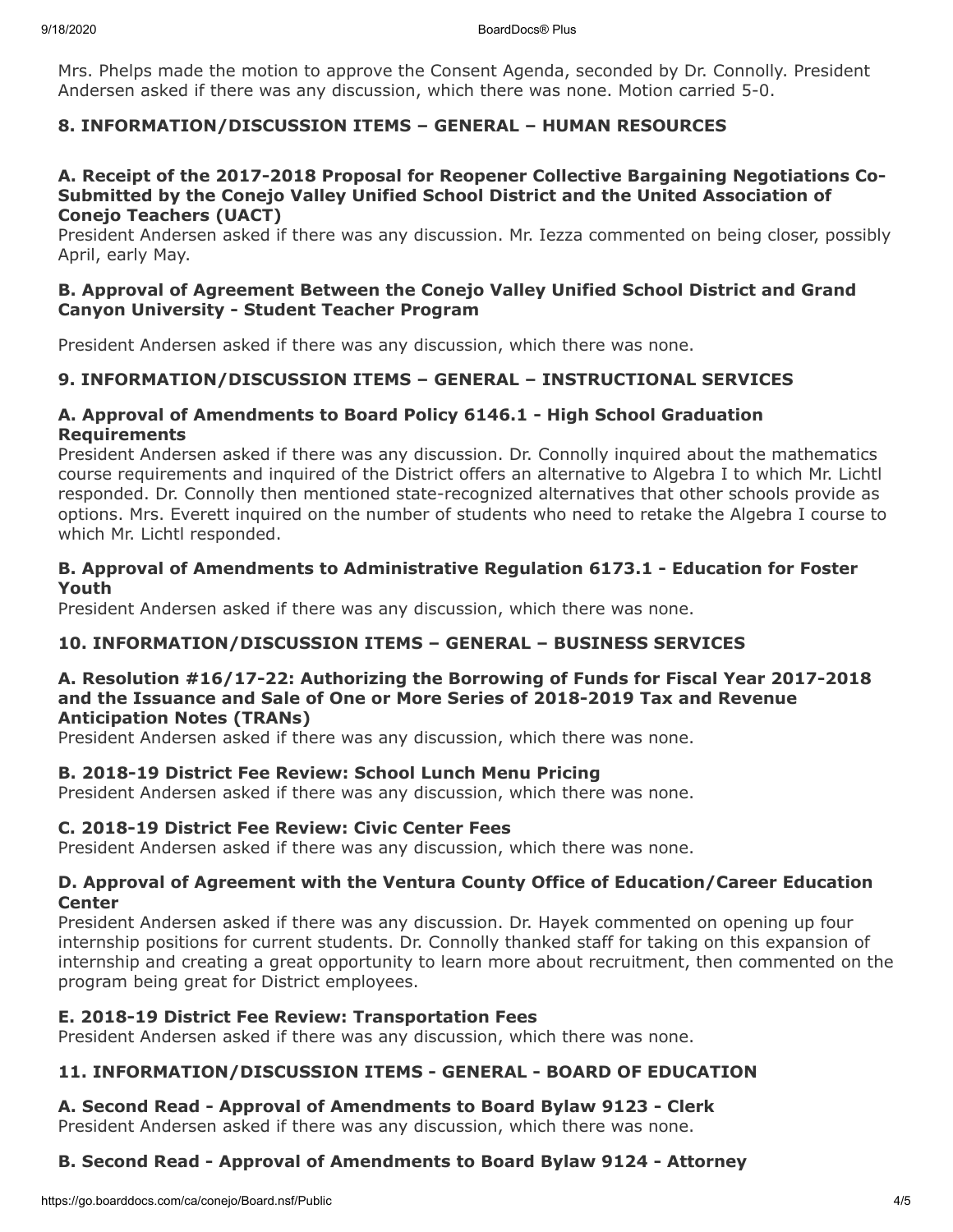Mrs. Phelps made the motion to approve the Consent Agenda, seconded by Dr. Connolly. President Andersen asked if there was any discussion, which there was none. Motion carried 5-0.

# **8. INFORMATION/DISCUSSION ITEMS – GENERAL – HUMAN RESOURCES**

#### **A. Receipt of the 2017-2018 Proposal for Reopener Collective Bargaining Negotiations Co-Submitted by the Conejo Valley Unified School District and the United Association of Conejo Teachers (UACT)**

President Andersen asked if there was any discussion. Mr. Iezza commented on being closer, possibly April, early May.

# **B. Approval of Agreement Between the Conejo Valley Unified School District and Grand Canyon University - Student Teacher Program**

President Andersen asked if there was any discussion, which there was none.

# **9. INFORMATION/DISCUSSION ITEMS – GENERAL – INSTRUCTIONAL SERVICES**

# **A. Approval of Amendments to Board Policy 6146.1 - High School Graduation Requirements**

President Andersen asked if there was any discussion. Dr. Connolly inquired about the mathematics course requirements and inquired of the District offers an alternative to Algebra I to which Mr. Lichtl responded. Dr. Connolly then mentioned state-recognized alternatives that other schools provide as options. Mrs. Everett inquired on the number of students who need to retake the Algebra I course to which Mr. Lichtl responded.

#### **B. Approval of Amendments to Administrative Regulation 6173.1 - Education for Foster Youth**

President Andersen asked if there was any discussion, which there was none.

# **10. INFORMATION/DISCUSSION ITEMS – GENERAL – BUSINESS SERVICES**

#### **A. Resolution #16/17-22: Authorizing the Borrowing of Funds for Fiscal Year 2017-2018 and the Issuance and Sale of One or More Series of 2018-2019 Tax and Revenue Anticipation Notes (TRANs)**

President Andersen asked if there was any discussion, which there was none.

# **B. 2018-19 District Fee Review: School Lunch Menu Pricing**

President Andersen asked if there was any discussion, which there was none.

#### **C. 2018-19 District Fee Review: Civic Center Fees**

President Andersen asked if there was any discussion, which there was none.

#### **D. Approval of Agreement with the Ventura County Office of Education/Career Education Center**

President Andersen asked if there was any discussion. Dr. Hayek commented on opening up four internship positions for current students. Dr. Connolly thanked staff for taking on this expansion of internship and creating a great opportunity to learn more about recruitment, then commented on the program being great for District employees.

#### **E. 2018-19 District Fee Review: Transportation Fees**

President Andersen asked if there was any discussion, which there was none.

# **11. INFORMATION/DISCUSSION ITEMS - GENERAL - BOARD OF EDUCATION**

#### **A. Second Read - Approval of Amendments to Board Bylaw 9123 - Clerk**

President Andersen asked if there was any discussion, which there was none.

# **B. Second Read - Approval of Amendments to Board Bylaw 9124 - Attorney**